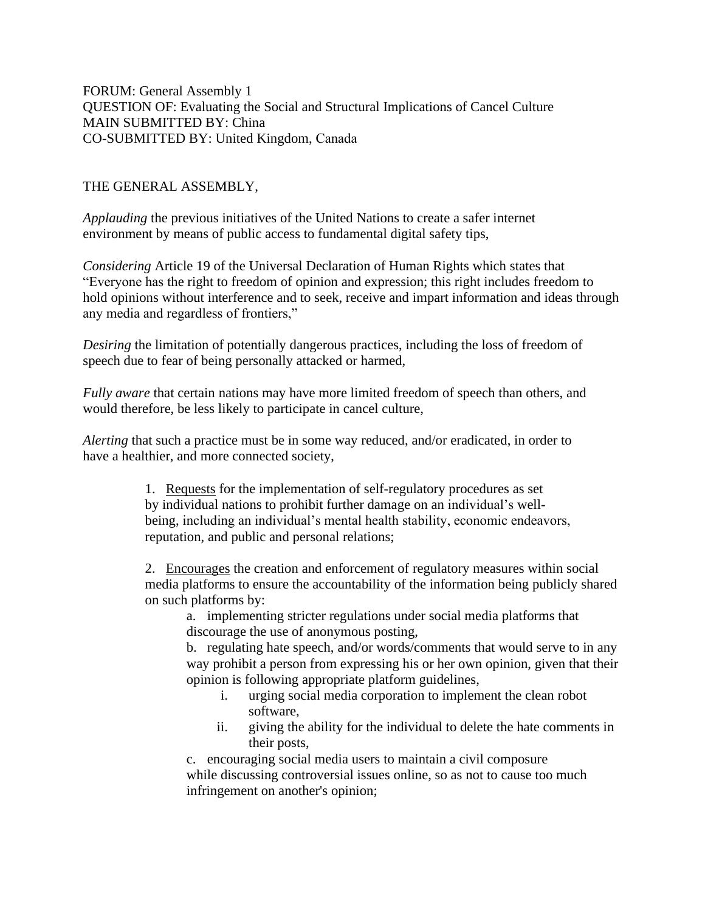FORUM: General Assembly 1 QUESTION OF: Evaluating the Social and Structural Implications of Cancel Culture MAIN SUBMITTED BY: China CO-SUBMITTED BY: United Kingdom, Canada 

THE GENERAL ASSEMBLY,

*Applauding* the previous initiatives of the United Nations to create a safer internet environment by means of public access to fundamental digital safety tips,

*Considering* Article 19 of the Universal Declaration of Human Rights which states that "Everyone has the right to freedom of opinion and expression; this right includes freedom to hold opinions without interference and to seek, receive and impart information and ideas through any media and regardless of frontiers,"

*Desiring* the limitation of potentially dangerous practices, including the loss of freedom of speech due to fear of being personally attacked or harmed,

*Fully aware* that certain nations may have more limited freedom of speech than others, and would therefore, be less likely to participate in cancel culture,

*Alerting* that such a practice must be in some way reduced, and/or eradicated, in order to have a healthier, and more connected society,

> 1. Requests for the implementation of self-regulatory procedures as set by individual nations to prohibit further damage on an individual's wellbeing, including an individual's mental health stability, economic endeavors, reputation, and public and personal relations;

2. Encourages the creation and enforcement of regulatory measures within social media platforms to ensure the accountability of the information being publicly shared on such platforms by:

a. implementing stricter regulations under social media platforms that discourage the use of anonymous posting,

b. regulating hate speech, and/or words/comments that would serve to in any way prohibit a person from expressing his or her own opinion, given that their opinion is following appropriate platform guidelines,

- i. urging social media corporation to implement the clean robot software,
- ii. giving the ability for the individual to delete the hate comments in their posts,

c. encouraging social media users to maintain a civil composure while discussing controversial issues online, so as not to cause too much infringement on another's opinion;